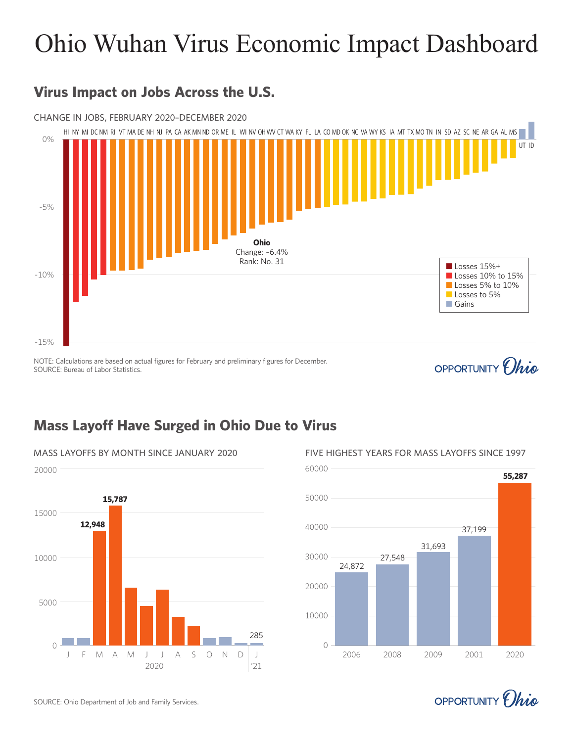# Ohio Wuhan Virus Economic Impact Dashboard



### **Virus Impact on Jobs Across the U.S.**

NOTE: Calculations are based on actual figures for February and preliminary figures for December. SOURCE: Bureau of Labor Statistics.

### **Mass Layoff Have Surged in Ohio Due to Virus**





OPPORTUNITY *(hig* 

MASS LAYOFFS BY MONTH SINCE JANUARY 2020 FIVE HIGHEST YEARS FOR MASS LAYOFFS SINCE 1997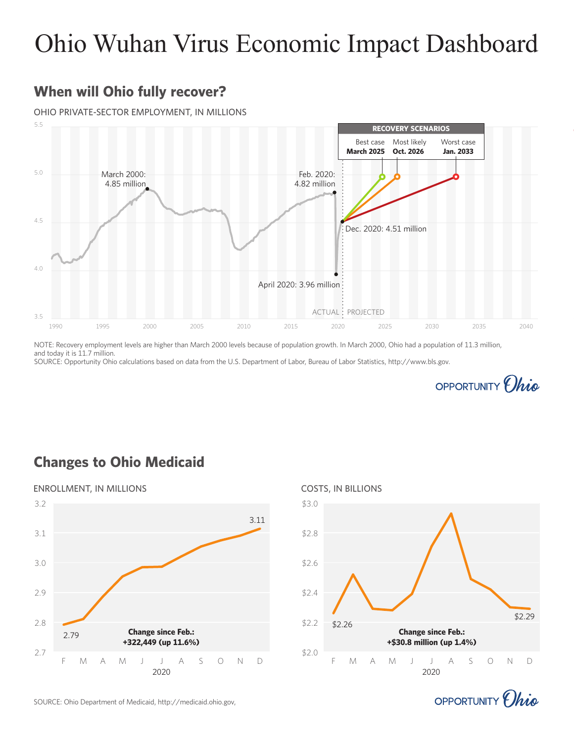## Ohio Wuhan Virus Economic Impact Dashboard

#### **When will Ohio fully recover?**

#### OHIO PRIVATE-SECTOR EMPLOYMENT, IN MILLIONS



NOTE: Recovery employment levels are higher than March 2000 levels because of population growth. In March 2000, Ohio had a population of 11.3 million, and today it is 11.7 million.

SOURCE: Opportunity Ohio calculations based on data from the U.S. Department of Labor, Bureau of Labor Statistics, http://www.bls.gov.



#### **Changes to Ohio Medicaid**





OPPORTUNITY *(hig* 

SOURCE: Ohio Department of Medicaid, http://medicaid.ohio.gov,